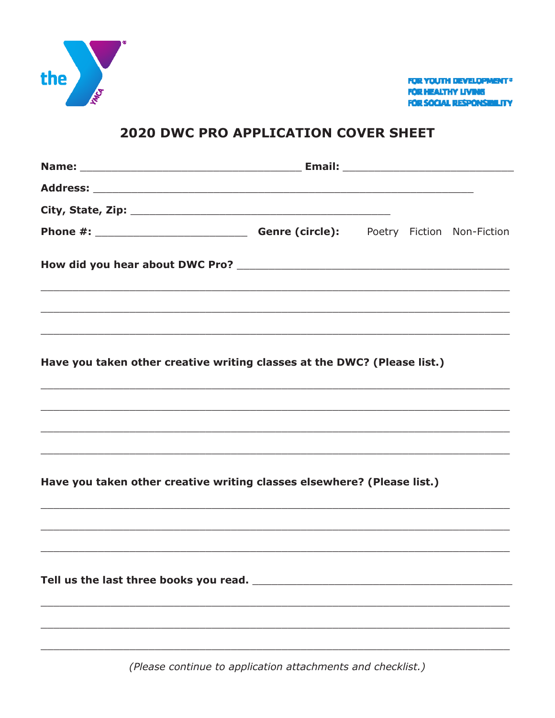

**FUR YOUTH DEVELOPMENT® FOR HEALTHY LIVING** FÖR SÖCIAL RESPÖNSIBILITY

## **2020 DWC PRO APPLICATION COVER SHEET**

| City, State, Zip: $\sqrt{2}$ City, State, Zip:                                                                                                                                                                                                 |  |  |
|------------------------------------------------------------------------------------------------------------------------------------------------------------------------------------------------------------------------------------------------|--|--|
|                                                                                                                                                                                                                                                |  |  |
| ,一个人的人都是一个人的人,我们就是一个人的人,我们就是一个人的人,我们就是一个人的人,我们就是一个人的人,我们就是一个人的人,我们就是一个人的人,我们就是一个人                                                                                                                                                              |  |  |
|                                                                                                                                                                                                                                                |  |  |
| Have you taken other creative writing classes at the DWC? (Please list.)<br><u> 1990 - Johann Stoff, deutscher Stoff, der Stoff, der Stoff, der Stoff, der Stoff, der Stoff, der Stoff, der S</u>                                              |  |  |
| <u> 1990 - Johann Stoff, deutscher Stoff, der Stoff, der Stoff, der Stoff, der Stoff, der Stoff, der Stoff, der S</u><br><u> 1989 - Johann Stoff, deutscher Stoff, der Stoff, der Stoff, der Stoff, der Stoff, der Stoff, der Stoff, der S</u> |  |  |
| Have you taken other creative writing classes elsewhere? (Please list.)<br>,我们也不能会有什么。""我们的人,我们也不能会有什么?""我们的人,我们也不能会有什么?""我们的人,我们也不能会有什么?""我们的人,我们也不能会有什么?""                                                                                   |  |  |
|                                                                                                                                                                                                                                                |  |  |
|                                                                                                                                                                                                                                                |  |  |
|                                                                                                                                                                                                                                                |  |  |
|                                                                                                                                                                                                                                                |  |  |

(Please continue to application attachments and checklist.)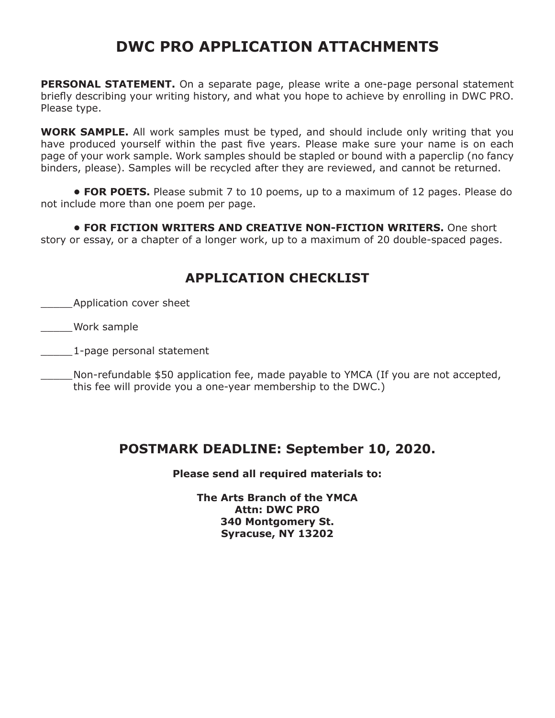## **DWC PRO APPLICATION ATTACHMENTS**

**PERSONAL STATEMENT.** On a separate page, please write a one-page personal statement briefly describing your writing history, and what you hope to achieve by enrolling in DWC PRO. Please type.

**WORK SAMPLE.** All work samples must be typed, and should include only writing that you have produced yourself within the past five years. Please make sure your name is on each page of your work sample. Work samples should be stapled or bound with a paperclip (no fancy binders, please). Samples will be recycled after they are reviewed, and cannot be returned.

**• FOR POETS.** Please submit 7 to 10 poems, up to a maximum of 12 pages. Please do not include more than one poem per page.

**• FOR FICTION WRITERS AND CREATIVE NON-FICTION WRITERS.** One short story or essay, or a chapter of a longer work, up to a maximum of 20 double-spaced pages.

## **APPLICATION CHECKLIST**

\_\_\_\_\_Application cover sheet

\_\_\_\_\_Work sample

\_\_\_\_\_1-page personal statement

Non-refundable \$50 application fee, made payable to YMCA (If you are not accepted, this fee will provide you a one-year membership to the DWC.)

## **POSTMARK DEADLINE: September 10, 2020.**

**Please send all required materials to:**

**The Arts Branch of the YMCA Attn: DWC PRO 340 Montgomery St. Syracuse, NY 13202**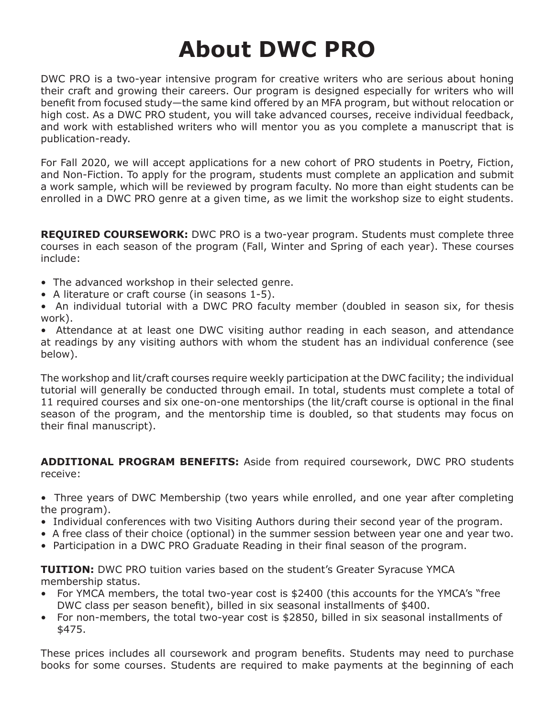# **About DWC PRO**

DWC PRO is a two-year intensive program for creative writers who are serious about honing their craft and growing their careers. Our program is designed especially for writers who will benefit from focused study—the same kind offered by an MFA program, but without relocation or high cost. As a DWC PRO student, you will take advanced courses, receive individual feedback, and work with established writers who will mentor you as you complete a manuscript that is publication-ready.

For Fall 2020, we will accept applications for a new cohort of PRO students in Poetry, Fiction, and Non-Fiction. To apply for the program, students must complete an application and submit a work sample, which will be reviewed by program faculty. No more than eight students can be enrolled in a DWC PRO genre at a given time, as we limit the workshop size to eight students.

**REQUIRED COURSEWORK:** DWC PRO is a two-year program. Students must complete three courses in each season of the program (Fall, Winter and Spring of each year). These courses include:

- The advanced workshop in their selected genre.
- A literature or craft course (in seasons 1-5).
- An individual tutorial with a DWC PRO faculty member (doubled in season six, for thesis work).

• Attendance at at least one DWC visiting author reading in each season, and attendance at readings by any visiting authors with whom the student has an individual conference (see below).

The workshop and lit/craft courses require weekly participation at the DWC facility; the individual tutorial will generally be conducted through email. In total, students must complete a total of 11 required courses and six one-on-one mentorships (the lit/craft course is optional in the final season of the program, and the mentorship time is doubled, so that students may focus on their final manuscript).

**ADDITIONAL PROGRAM BENEFITS:** Aside from required coursework, DWC PRO students receive:

• Three years of DWC Membership (two years while enrolled, and one year after completing the program).

- Individual conferences with two Visiting Authors during their second year of the program.
- A free class of their choice (optional) in the summer session between year one and year two.
- Participation in a DWC PRO Graduate Reading in their final season of the program.

**TUITION:** DWC PRO tuition varies based on the student's Greater Syracuse YMCA membership status.

- For YMCA members, the total two-year cost is \$2400 (this accounts for the YMCA's "free DWC class per season benefit), billed in six seasonal installments of \$400.
- For non-members, the total two-year cost is \$2850, billed in six seasonal installments of \$475.

These prices includes all coursework and program benefits. Students may need to purchase books for some courses. Students are required to make payments at the beginning of each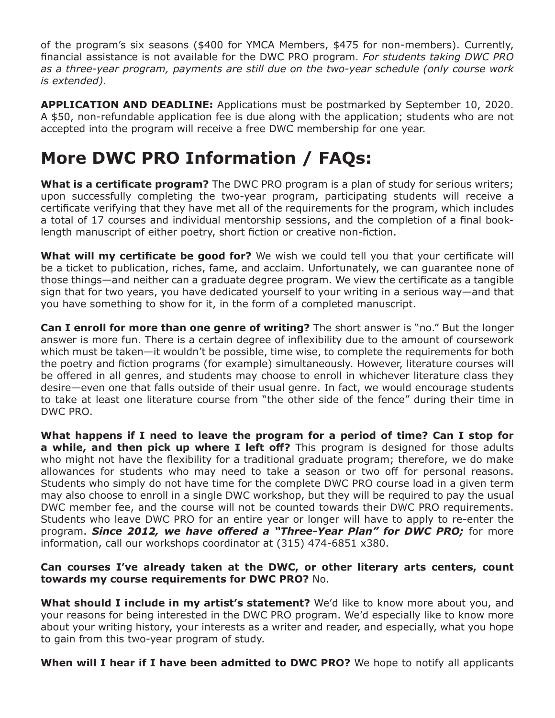of the program's six seasons (\$400 for YMCA Members, \$475 for non-members). Currently, financial assistance is not available for the DWC PRO program. *For students taking DWC PRO as a three-year program, payments are still due on the two-year schedule (only course work is extended).*

**APPLICATION AND DEADLINE:** Applications must be postmarked by September 10, 2020. A \$50, non-refundable application fee is due along with the application; students who are not accepted into the program will receive a free DWC membership for one year.

## **More DWC PRO Information / FAQs:**

**What is a certificate program?** The DWC PRO program is a plan of study for serious writers; upon successfully completing the two-year program, participating students will receive a certificate verifying that they have met all of the requirements for the program, which includes a total of 17 courses and individual mentorship sessions, and the completion of a final booklength manuscript of either poetry, short fiction or creative non-fiction.

**What will my certificate be good for?** We wish we could tell you that your certificate will be a ticket to publication, riches, fame, and acclaim. Unfortunately, we can guarantee none of those things—and neither can a graduate degree program. We view the certificate as a tangible sign that for two years, you have dedicated yourself to your writing in a serious way—and that you have something to show for it, in the form of a completed manuscript.

**Can I enroll for more than one genre of writing?** The short answer is "no." But the longer answer is more fun. There is a certain degree of inflexibility due to the amount of coursework which must be taken—it wouldn't be possible, time wise, to complete the requirements for both the poetry and fiction programs (for example) simultaneously. However, literature courses will be offered in all genres, and students may choose to enroll in whichever literature class they desire—even one that falls outside of their usual genre. In fact, we would encourage students to take at least one literature course from "the other side of the fence" during their time in DWC PRO.

**What happens if I need to leave the program for a period of time? Can I stop for a while, and then pick up where I left off?** This program is designed for those adults who might not have the flexibility for a traditional graduate program; therefore, we do make allowances for students who may need to take a season or two off for personal reasons. Students who simply do not have time for the complete DWC PRO course load in a given term may also choose to enroll in a single DWC workshop, but they will be required to pay the usual DWC member fee, and the course will not be counted towards their DWC PRO requirements. Students who leave DWC PRO for an entire year or longer will have to apply to re-enter the program. *Since 2012, we have offered a "Three-Year Plan" for DWC PRO;* for more information, call our workshops coordinator at (315) 474-6851 x380.

#### **Can courses I've already taken at the DWC, or other literary arts centers, count towards my course requirements for DWC PRO?** No.

**What should I include in my artist's statement?** We'd like to know more about you, and your reasons for being interested in the DWC PRO program. We'd especially like to know more about your writing history, your interests as a writer and reader, and especially, what you hope to gain from this two-year program of study.

**When will I hear if I have been admitted to DWC PRO?** We hope to notify all applicants